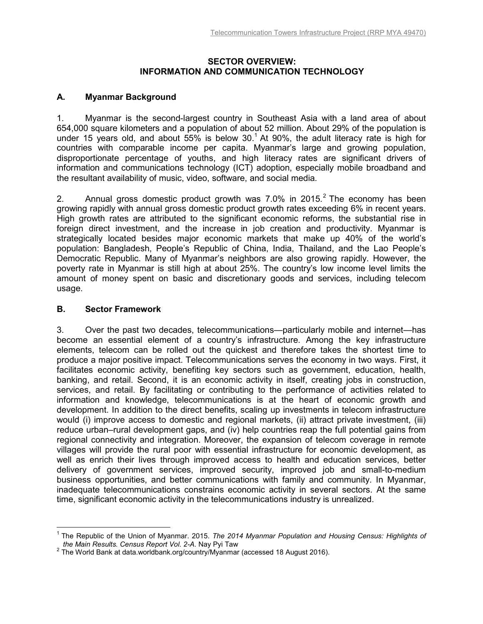### **SECTOR OVERVIEW: INFORMATION AND COMMUNICATION TECHNOLOGY**

# **A. Myanmar Background**

1. Myanmar is the second-largest country in Southeast Asia with a land area of about 654,000 square kilometers and a population of about 52 million. About 29% of the population is under 15 years old, and about 55% is below 30.<sup>1</sup> At 90%, the adult literacy rate is high for countries with comparable income per capita. Myanmar's large and growing population, disproportionate percentage of youths, and high literacy rates are significant drivers of information and communications technology (ICT) adoption, especially mobile broadband and the resultant availability of music, video, software, and social media.

2. Annual gross domestic product growth was 7.0% in 2015. $^2$  The economy has been growing rapidly with annual gross domestic product growth rates exceeding 6% in recent years. High growth rates are attributed to the significant economic reforms, the substantial rise in foreign direct investment, and the increase in job creation and productivity. Myanmar is strategically located besides major economic markets that make up 40% of the world's population: Bangladesh, People's Republic of China, India, Thailand, and the Lao People's Democratic Republic. Many of Myanmar's neighbors are also growing rapidly. However, the poverty rate in Myanmar is still high at about 25%. The country's low income level limits the amount of money spent on basic and discretionary goods and services, including telecom usage.

## **B. Sector Framework**

 $\overline{a}$ 

3. Over the past two decades, telecommunications—particularly mobile and internet—has become an essential element of a country's infrastructure. Among the key infrastructure elements, telecom can be rolled out the quickest and therefore takes the shortest time to produce a major positive impact. Telecommunications serves the economy in two ways. First, it facilitates economic activity, benefiting key sectors such as government, education, health, banking, and retail. Second, it is an economic activity in itself, creating jobs in construction, services, and retail. By facilitating or contributing to the performance of activities related to information and knowledge, telecommunications is at the heart of economic growth and development. In addition to the direct benefits, scaling up investments in telecom infrastructure would (i) improve access to domestic and regional markets, (ii) attract private investment, (iii) reduce urban–rural development gaps, and (iv) help countries reap the full potential gains from regional connectivity and integration. Moreover, the expansion of telecom coverage in remote villages will provide the rural poor with essential infrastructure for economic development, as well as enrich their lives through improved access to health and education services, better delivery of government services, improved security, improved job and small-to-medium business opportunities, and better communications with family and community. In Myanmar, inadequate telecommunications constrains economic activity in several sectors. At the same time, significant economic activity in the telecommunications industry is unrealized.

<sup>&</sup>lt;sup>1</sup> The Republic of the Union of Myanmar. 2015. *The 2014 Myanmar Population and Housing Census: Highlights of the Main Results. Census Report Vol. 2-A.* Nay Pyi Taw

 $2$  The World Bank at data.worldbank.org/country/Myanmar (accessed 18 August 2016).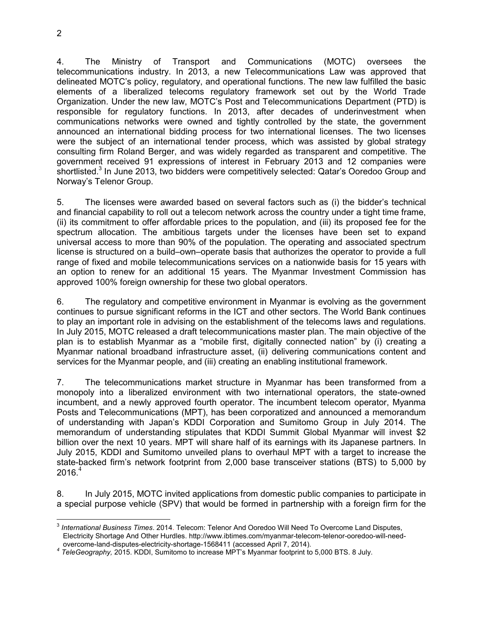4. The Ministry of Transport and Communications (MOTC) oversees the telecommunications industry. In 2013, a new Telecommunications Law was approved that delineated MOTC's policy, regulatory, and operational functions. The new law fulfilled the basic elements of a liberalized telecoms regulatory framework set out by the World Trade Organization. Under the new law, MOTC's Post and Telecommunications Department (PTD) is responsible for regulatory functions. In 2013, after decades of underinvestment when communications networks were owned and tightly controlled by the state, the government announced an international bidding process for two international licenses. The two licenses were the subject of an international tender process, which was assisted by global strategy consulting firm Roland Berger, and was widely regarded as transparent and competitive. The

5. The licenses were awarded based on several factors such as (i) the bidder's technical and financial capability to roll out a telecom network across the country under a tight time frame, (ii) its commitment to offer affordable prices to the population, and (iii) its proposed fee for the spectrum allocation. The ambitious targets under the licenses have been set to expand universal access to more than 90% of the population. The operating and associated spectrum license is structured on a build–own–operate basis that authorizes the operator to provide a full range of fixed and mobile telecommunications services on a nationwide basis for 15 years with an option to renew for an additional 15 years. The Myanmar Investment Commission has approved 100% foreign ownership for these two global operators.

government received 91 expressions of interest in February 2013 and 12 companies were shortlisted.<sup>3</sup> In June 2013, two bidders were competitively selected: Qatar's Ooredoo Group and

6. The regulatory and competitive environment in Myanmar is evolving as the government continues to pursue significant reforms in the ICT and other sectors. The World Bank continues to play an important role in advising on the establishment of the telecoms laws and regulations. In July 2015, MOTC released a draft telecommunications master plan. The main objective of the plan is to establish Myanmar as a "mobile first, digitally connected nation" by (i) creating a Myanmar national broadband infrastructure asset, (ii) delivering communications content and services for the Myanmar people, and (iii) creating an enabling institutional framework.

7. The telecommunications market structure in Myanmar has been transformed from a monopoly into a liberalized environment with two international operators, the state-owned incumbent, and a newly approved fourth operator. The incumbent telecom operator, Myanma Posts and Telecommunications (MPT), has been corporatized and announced a memorandum of understanding with Japan's KDDI Corporation and Sumitomo Group in July 2014. The memorandum of understanding stipulates that KDDI Summit Global Myanmar will invest \$2 billion over the next 10 years. MPT will share half of its earnings with its Japanese partners. In July 2015, KDDI and Sumitomo unveiled plans to overhaul MPT with a target to increase the state-backed firm's network footprint from 2,000 base transceiver stations (BTS) to 5,000 by  $2016.<sup>4</sup>$ 

8. In July 2015, MOTC invited applications from domestic public companies to participate in a special purpose vehicle (SPV) that would be formed in partnership with a foreign firm for the

 $\overline{a}$ 

Norway's Telenor Group.

<sup>3</sup> *International Business Times*. 2014. Telecom: Telenor And Ooredoo Will Need To Overcome Land Disputes, Electricity Shortage And Other Hurdles. http://www.ibtimes.com/myanmar-telecom-telenor-ooredoo-will-needovercome-land-disputes-electricity-shortage-1568411 (accessed April 7, 2014).

*<sup>4</sup> TeleGeography,* 2015. KDDI, Sumitomo to increase MPT's Myanmar footprint to 5,000 BTS. 8 July.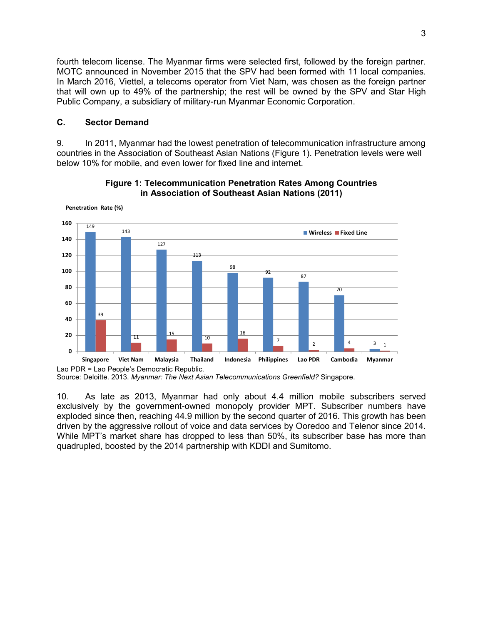fourth telecom license. The Myanmar firms were selected first, followed by the foreign partner. MOTC announced in November 2015 that the SPV had been formed with 11 local companies. In March 2016, Viettel, a telecoms operator from Viet Nam, was chosen as the foreign partner that will own up to 49% of the partnership; the rest will be owned by the SPV and Star High Public Company, a subsidiary of military-run Myanmar Economic Corporation.

### **C. Sector Demand**

**Penetration Rate (%)**

9. In 2011, Myanmar had the lowest penetration of telecommunication infrastructure among countries in the Association of Southeast Asian Nations (Figure 1). Penetration levels were well below 10% for mobile, and even lower for fixed line and internet.



#### **Figure 1: Telecommunication Penetration Rates Among Countries in Association of Southeast Asian Nations (2011)**

10. As late as 2013, Myanmar had only about 4.4 million mobile subscribers served exclusively by the government-owned monopoly provider MPT. Subscriber numbers have exploded since then, reaching 44.9 million by the second quarter of 2016. This growth has been driven by the aggressive rollout of voice and data services by Ooredoo and Telenor since 2014. While MPT's market share has dropped to less than 50%, its subscriber base has more than quadrupled, boosted by the 2014 partnership with KDDI and Sumitomo.

Source: Deloitte. 2013. *Myanmar: The Next Asian Telecommunications Greenfield?* Singapore.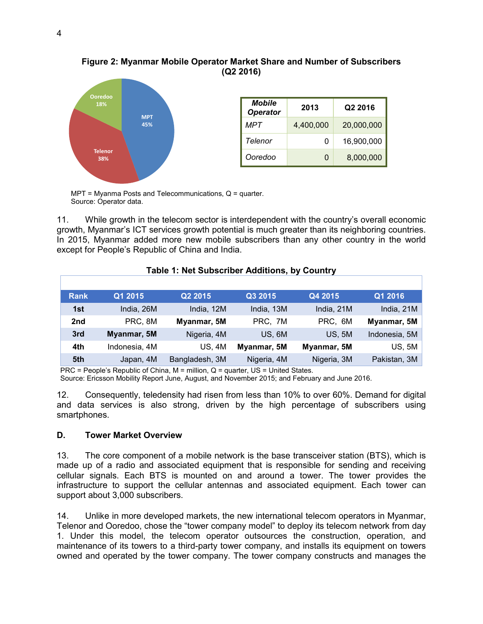### **Figure 2: Myanmar Mobile Operator Market Share and Number of Subscribers (Q2 2016)**



| <b>Mobile</b><br><b>Operator</b> | 2013      | Q <sub>2</sub> 2016 |  |
|----------------------------------|-----------|---------------------|--|
| MPT                              | 4,400,000 | 20,000,000          |  |
| Telenor                          | 0         | 16,900,000          |  |
| Ooredoo                          | 0         | 8,000,000           |  |

MPT = Myanma Posts and Telecommunications, Q = quarter. Source: Operator data.

11. While growth in the telecom sector is interdependent with the country's overall economic growth, Myanmar's ICT services growth potential is much greater than its neighboring countries. In 2015, Myanmar added more new mobile subscribers than any other country in the world except for People's Republic of China and India.

### **Table 1: Net Subscriber Additions, by Country**

| <b>Rank</b> | Q1 2015       | Q2 2015        | Q3 2015     | Q4 2015       | Q1 2016       |
|-------------|---------------|----------------|-------------|---------------|---------------|
| 1st         | India, 26M    | India, 12M     | India, 13M  | India, 21M    | India, 21M    |
| 2nd         | PRC, 8M       | Myanmar, 5M    | PRC, 7M     | PRC, 6M       | Myanmar, 5M   |
| 3rd         | Myanmar, 5M   | Nigeria, 4M    | US, 6M      | <b>US, 5M</b> | Indonesia, 5M |
| 4th         | Indonesia, 4M | <b>US, 4M</b>  | Myanmar, 5M | Myanmar, 5M   | <b>US, 5M</b> |
| 5th         | Japan, 4M     | Bangladesh, 3M | Nigeria, 4M | Nigeria, 3M   | Pakistan, 3M  |

PRC = People's Republic of China,  $M =$  million,  $Q =$  quarter, US = United States.

Source: Ericsson Mobility Report June, August, and November 2015; and February and June 2016.

12. Consequently, teledensity had risen from less than 10% to over 60%. Demand for digital and data services is also strong, driven by the high percentage of subscribers using smartphones.

### **D. Tower Market Overview**

13. The core component of a mobile network is the base transceiver station (BTS), which is made up of a radio and associated equipment that is responsible for sending and receiving cellular signals. Each BTS is mounted on and around a tower. The tower provides the infrastructure to support the cellular antennas and associated equipment. Each tower can support about 3,000 subscribers.

14. Unlike in more developed markets, the new international telecom operators in Myanmar, Telenor and Ooredoo, chose the "tower company model" to deploy its telecom network from day 1. Under this model, the telecom operator outsources the construction, operation, and maintenance of its towers to a third-party tower company, and installs its equipment on towers owned and operated by the tower company. The tower company constructs and manages the